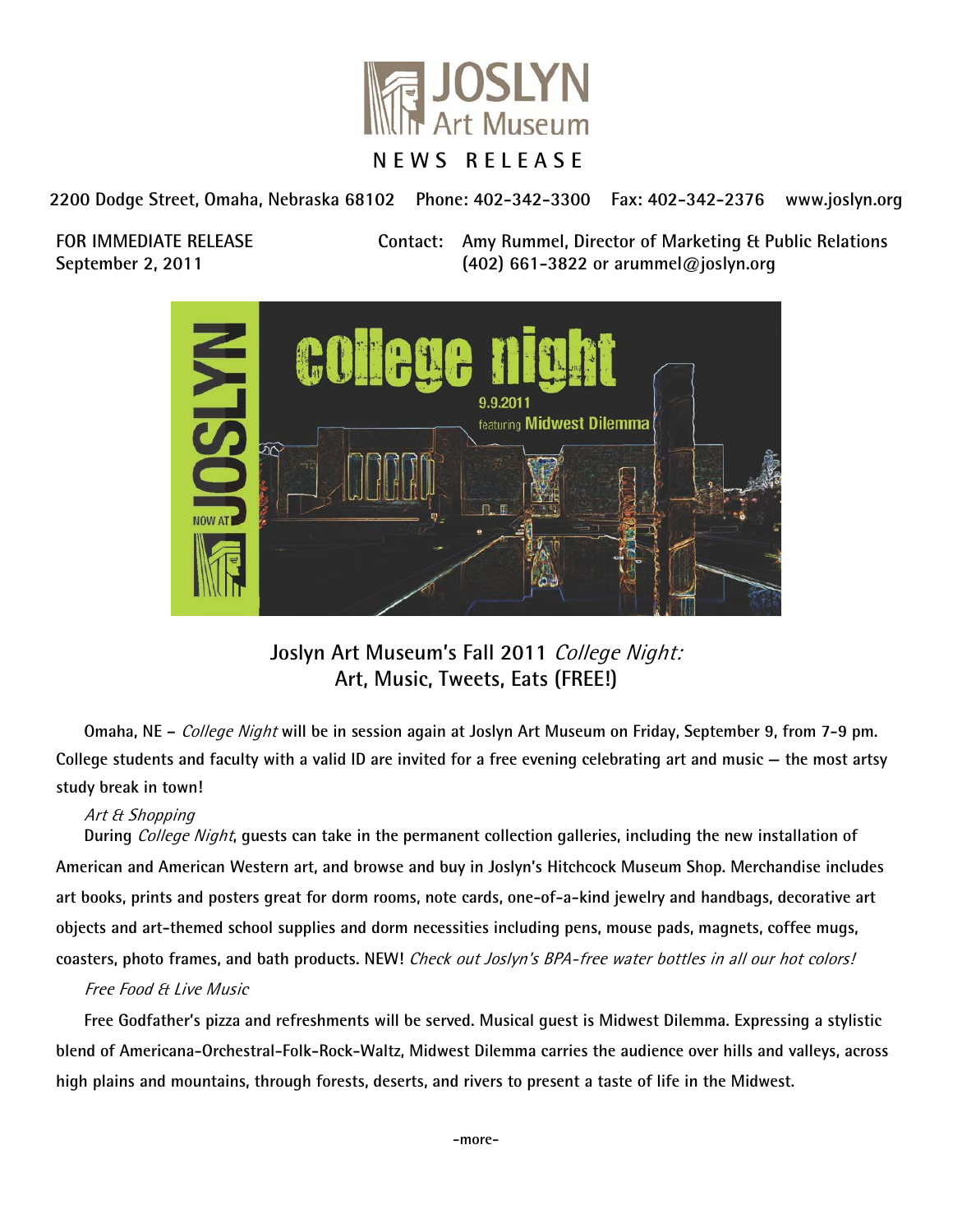

**2200 Dodge Street, Omaha, Nebraska 68102 Phone: 402-342-3300 Fax: 402-342-2376 www.joslyn.org**

**FOR IMMEDIATE RELEASE Contact: Amy Rummel, Director of Marketing & Public Relations September 2, 2011 (402) 661-3822 or arummel@joslyn.org**



**Joslyn Art Museum's Fall 2011** College Night: **Art, Music, Tweets, Eats (FREE!)**

**Omaha, NE –** College Night **will be in session again at Joslyn Art Museum on Friday, September 9, from 7-9 pm. College students and faculty with a valid ID are invited for a free evening celebrating art and music — the most artsy study break in town!**

## Art & Shopping

**During** College Night**, guests can take in the permanent collection galleries, including the new installation of American and American Western art, and browse and buy in Joslyn's Hitchcock Museum Shop. Merchandise includes art books, prints and posters great for dorm rooms, note cards, one-of-a-kind jewelry and handbags, decorative art objects and art-themed school supplies and dorm necessities including pens, mouse pads, magnets, coffee mugs, coasters, photo frames, and bath products. NEW!** Check out Joslyn's BPA-free water bottles in all our hot colors!

## Free Food & Live Music

**Free Godfather's pizza and refreshments will be served. Musical guest is Midwest Dilemma. Expressing a stylistic blend of Americana-Orchestral-Folk-Rock-Waltz, Midwest Dilemma carries the audience over hills and valleys, across high plains and mountains, through forests, deserts, and rivers to present a taste of life in the Midwest.**